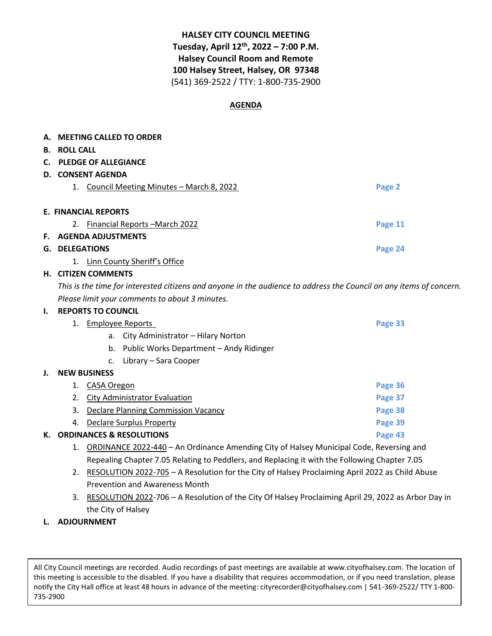# **HALSEY CITY COUNCIL MEETING Tuesday, April 12th, 2022 – 7:00 P.M. Halsey Council Room and Remote 100 Halsey Street, Halsey, OR 97348** (541) 369-2522 / TTY: 1-800-735-2900

## **AGENDA**

|                             | A. MEETING CALLED TO ORDER                    |         |  |  |
|-----------------------------|-----------------------------------------------|---------|--|--|
| <b>B.</b>                   | <b>ROLL CALL</b>                              |         |  |  |
| C.                          | <b>PLEDGE OF ALLEGIANCE</b>                   |         |  |  |
| D.                          | <b>CONSENT AGENDA</b>                         |         |  |  |
|                             | Council Meeting Minutes - March 8, 2022<br>1. | Page 2  |  |  |
|                             |                                               |         |  |  |
| <b>E. FINANCIAL REPORTS</b> |                                               |         |  |  |
|                             | <b>Financial Reports – March 2022</b><br>2.   | Page 11 |  |  |
| E.                          | <b>AGENDA ADJUSTMENTS</b>                     |         |  |  |
| G.                          | <b>DELEGATIONS</b>                            | Page 24 |  |  |
|                             | Linn County Sheriff's Office<br>1.            |         |  |  |

#### **H. CITIZEN COMMENTS**

*This is the time for interested citizens and anyone in the audience to address the Council on any items of concern. Please limit your comments to about 3 minutes.* 

#### **I. REPORTS TO COUNCIL**

|    |    | Employee Reports                              | Page 33 |
|----|----|-----------------------------------------------|---------|
|    |    | City Administrator – Hilary Norton<br>а.      |         |
|    |    | Public Works Department - Andy Ridinger<br>b. |         |
|    |    | Library - Sara Cooper<br>c.                   |         |
| J. |    | <b>NEW BUSINESS</b>                           |         |
|    |    | CASA Oregon                                   | Page 36 |
|    | 2. | City Administrator Evaluation                 | Page 37 |
|    | 3. | Declare Planning Commission Vacancy           | Page 38 |
|    | 4. | Declare Surplus Property                      | Page 39 |
| К. |    | <b>ORDINANCES &amp; RESOLUTIONS</b>           | Page 43 |

- 1. ORDINANCE 2022-440 An Ordinance Amending City of Halsey Municipal Code, Reversing and Repealing Chapter 7.05 Relating to Peddlers, and Replacing it with the Following Chapter 7.05
- 2. RESOLUTION 2022-705 A Resolution for the City of Halsey Proclaiming April 2022 as Child Abuse Prevention and Awareness Month
- 3. RESOLUTION 2022-706 A Resolution of the City Of Halsey Proclaiming April 29, 2022 as Arbor Day in the City of Halsey
- **L. ADJOURNMENT**

All City Council meetings are recorded. Audio recordings of past meetings are available at www.cityofhalsey.com. The location of this meeting is accessible to the disabled. If you have a disability that requires accommodation, or if you need translation, please notify the City Hall office at least 48 hours in advance of the meeting: cityrecorder@cityofhalsey.com | 541-369-2522/ TTY 1-800- 735-2900